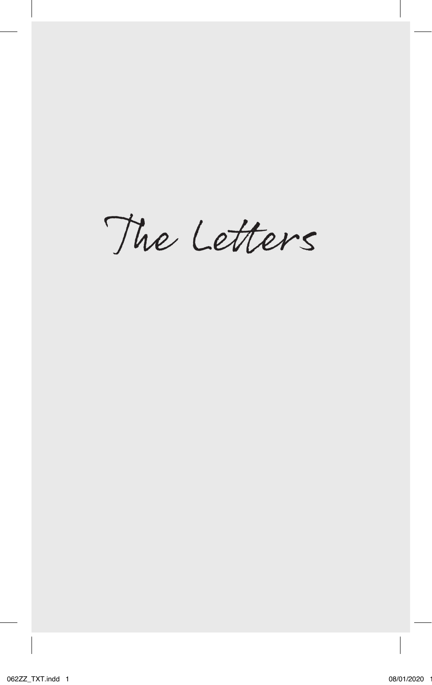The Letters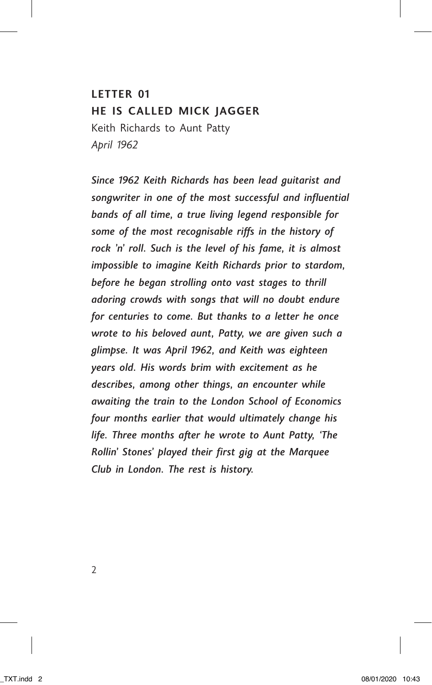# **LETTER 01**

**HE IS CALLED MICK JAGGER**

Keith Richards to Aunt Patty *April 1962*

*Since 1962 Keith Richards has been lead guitarist and songwriter in one of the most successful and influential bands of all time, a true living legend responsible for some of the most recognisable riffs in the history of rock 'n' roll. Such is the level of his fame, it is almost impossible to imagine Keith Richards prior to stardom, before he began strolling onto vast stages to thrill adoring crowds with songs that will no doubt endure for centuries to come. But thanks to a letter he once wrote to his beloved aunt, Patty, we are given such a glimpse. It was April 1962, and Keith was eighteen years old. His words brim with excitement as he describes, among other things, an encounter while awaiting the train to the London School of Economics four months earlier that would ultimately change his life. Three months after he wrote to Aunt Patty, 'The Rollin' Stones' played their first gig at the Marquee Club in London. The rest is history.*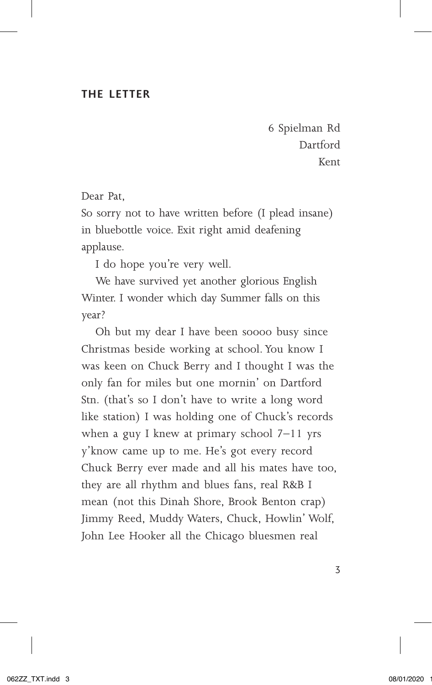## **THE LETTER**

6 Spielman Rd Dartford Kent

Dear Pat,

So sorry not to have written before (I plead insane) in bluebottle voice. Exit right amid deafening applause.

I do hope you're very well.

We have survived yet another glorious English Winter. I wonder which day Summer falls on this year?

Oh but my dear I have been soooo busy since Christmas beside working at school. You know I was keen on Chuck Berry and I thought I was the only fan for miles but one mornin' on Dartford Stn. (that's so I don't have to write a long word like station) I was holding one of Chuck's records when a guy I knew at primary school 7–11 yrs y'know came up to me. He's got every record Chuck Berry ever made and all his mates have too, they are all rhythm and blues fans, real R&B I mean (not this Dinah Shore, Brook Benton crap) Jimmy Reed, Muddy Waters, Chuck, Howlin' Wolf, John Lee Hooker all the Chicago bluesmen real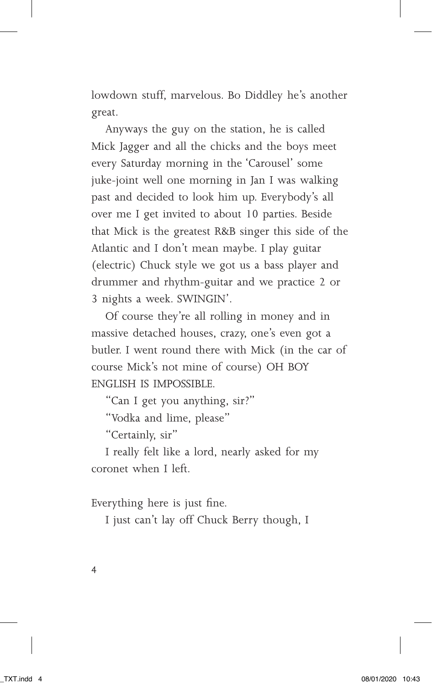lowdown stuff, marvelous. Bo Diddley he's another great.

Anyways the guy on the station, he is called Mick Jagger and all the chicks and the boys meet every Saturday morning in the 'Carousel' some juke-joint well one morning in Jan I was walking past and decided to look him up. Everybody's all over me I get invited to about 10 parties. Beside that Mick is the greatest R&B singer this side of the Atlantic and I don't mean maybe. I play guitar (electric) Chuck style we got us a bass player and drummer and rhythm-guitar and we practice 2 or 3 nights a week. SWINGIN'.

Of course they're all rolling in money and in massive detached houses, crazy, one's even got a butler. I went round there with Mick (in the car of course Mick's not mine of course) OH BOY ENGLISH IS IMPOSSIBLE.

"Can I get you anything, sir?"

"Vodka and lime, please"

"Certainly, sir"

I really felt like a lord, nearly asked for my coronet when I left.

Everything here is just fine.

I just can't lay off Chuck Berry though, I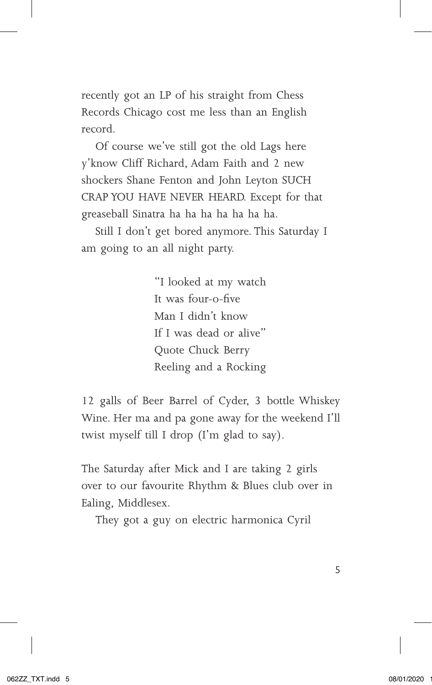recently got an LP of his straight from Chess Records Chicago cost me less than an English record.

Of course we've still got the old Lags here y'know Cliff Richard, Adam Faith and 2 new shockers Shane Fenton and John Leyton SUCH CRAP YOU HAVE NEVER HEARD. Except for that greaseball Sinatra ha ha ha ha ha ha ha.

Still I don't get bored anymore. This Saturday I am going to an all night party.

> "I looked at my watch It was four-o-five Man I didn't know If I was dead or alive" Quote Chuck Berry Reeling and a Rocking

12 galls of Beer Barrel of Cyder, 3 bottle Whiskey Wine. Her ma and pa gone away for the weekend I'll twist myself till I drop (I'm glad to say).

The Saturday after Mick and I are taking 2 girls over to our favourite Rhythm & Blues club over in Ealing, Middlesex.

They got a guy on electric harmonica Cyril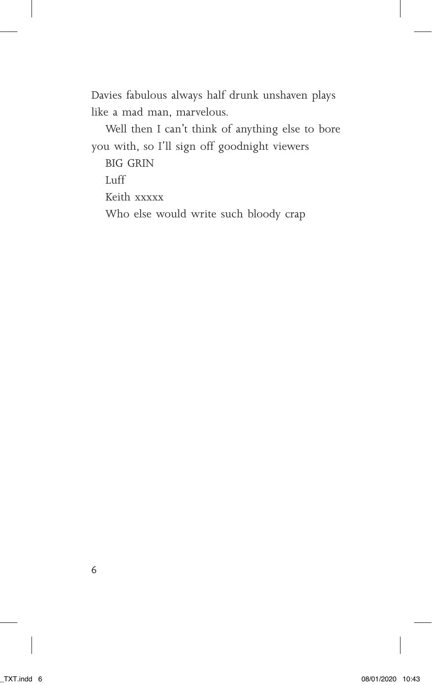Davies fabulous always half drunk unshaven plays like a mad man, marvelous.

Well then I can't think of anything else to bore you with, so I'll sign off goodnight viewers

BIG GRIN  $L<sub>u</sub>$ ff Keith xxxxx Who else would write such bloody crap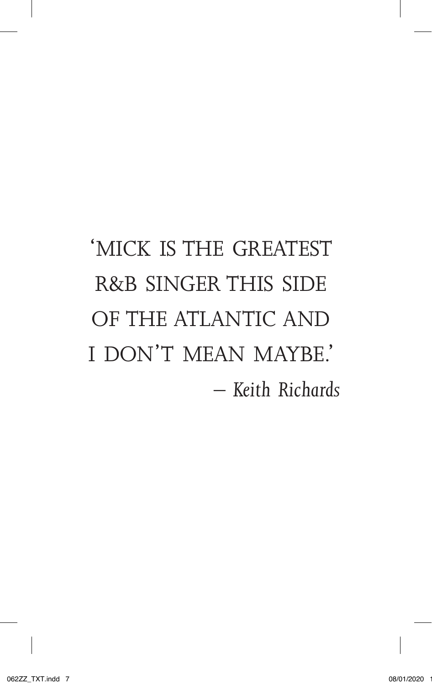# 'MICK IS THE GREATEST R&B SINGER THIS SIDE OF THE ATLANTIC AND I DON'T MEAN MAYBE.' *– Keith Richards*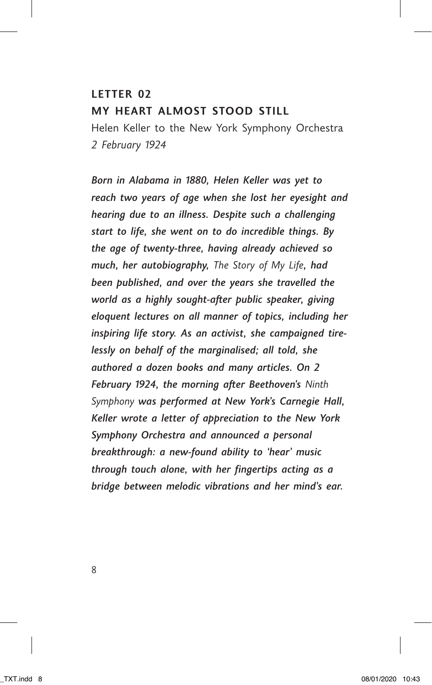#### **LETTER 02**

## **MY HEART ALMOST STOOD STILL**

Helen Keller to the New York Symphony Orchestra *2 February 1924*

*Born in Alabama in 1880, Helen Keller was yet to reach two years of age when she lost her eyesight and hearing due to an illness. Despite such a challenging start to life, she went on to do incredible things. By the age of twenty-three, having already achieved so much, her autobiography, The Story of My Life, had been published, and over the years she travelled the world as a highly sought-after public speaker, giving eloquent lectures on all manner of topics, including her inspiring life story. As an activist, she campaigned tirelessly on behalf of the marginalised; all told, she authored a dozen books and many articles. On 2 February 1924, the morning after Beethoven's Ninth Symphony was performed at New York's Carnegie Hall, Keller wrote a letter of appreciation to the New York Symphony Orchestra and announced a personal breakthrough: a new-found ability to 'hear' music through touch alone, with her fingertips acting as a bridge between melodic vibrations and her mind's ear.*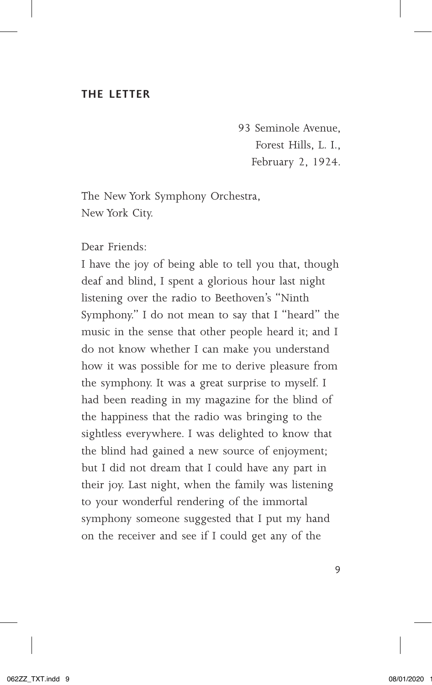## **THE LETTER**

93 Seminole Avenue, Forest Hills, L. I., February 2, 1924.

The New York Symphony Orchestra, New York City.

Dear Friends:

I have the joy of being able to tell you that, though deaf and blind, I spent a glorious hour last night listening over the radio to Beethoven's "Ninth Symphony." I do not mean to say that I "heard" the music in the sense that other people heard it; and I do not know whether I can make you understand how it was possible for me to derive pleasure from the symphony. It was a great surprise to myself. I had been reading in my magazine for the blind of the happiness that the radio was bringing to the sightless everywhere. I was delighted to know that the blind had gained a new source of enjoyment; but I did not dream that I could have any part in their joy. Last night, when the family was listening to your wonderful rendering of the immortal symphony someone suggested that I put my hand on the receiver and see if I could get any of the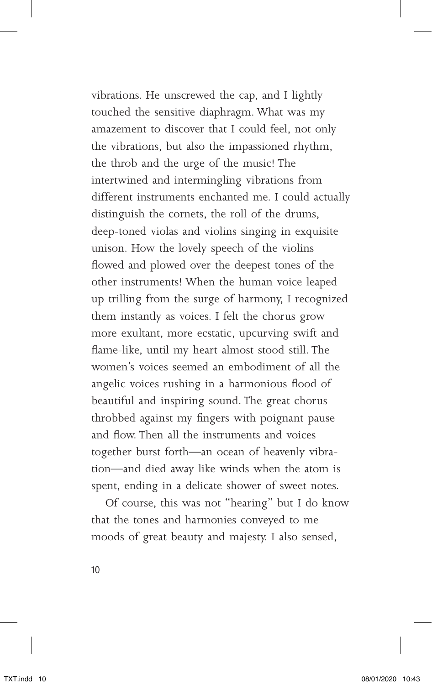vibrations. He unscrewed the cap, and I lightly touched the sensitive diaphragm. What was my amazement to discover that I could feel, not only the vibrations, but also the impassioned rhythm, the throb and the urge of the music! The intertwined and intermingling vibrations from different instruments enchanted me. I could actually distinguish the cornets, the roll of the drums, deep-toned violas and violins singing in exquisite unison. How the lovely speech of the violins flowed and plowed over the deepest tones of the other instruments! When the human voice leaped up trilling from the surge of harmony, I recognized them instantly as voices. I felt the chorus grow more exultant, more ecstatic, upcurving swift and flame-like, until my heart almost stood still. The women's voices seemed an embodiment of all the angelic voices rushing in a harmonious flood of beautiful and inspiring sound. The great chorus throbbed against my fingers with poignant pause and flow. Then all the instruments and voices together burst forth—an ocean of heavenly vibration—and died away like winds when the atom is spent, ending in a delicate shower of sweet notes.

Of course, this was not "hearing" but I do know that the tones and harmonies conveyed to me moods of great beauty and majesty. I also sensed,